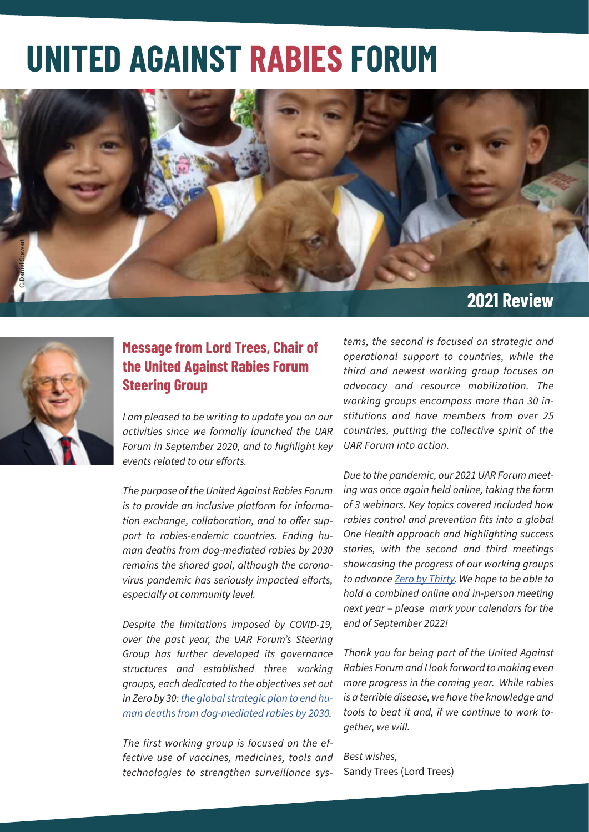# **UNITED AGAINST RABIES FORUM**





# **Message from Lord Trees, Chair of the United Against Rabies Forum Steering Group**

*I am pleased to be writing to update you on our activities since we formally launched the UAR Forum in September 2020, and to highlight key events related to our efforts.*

*The purpose of the United Against Rabies Forum is to provide an inclusive platform for information exchange, collaboration, and to offer support to rabies-endemic countries. Ending human deaths from dog-mediated rabies by 2030 remains the shared goal, although the coronavirus pandemic has seriously impacted efforts, especially at community level.* 

*Despite the limitations imposed by COVID-19, over the past year, the UAR Forum's Steering Group has further developed its governance structures and established three working groups, each dedicated to the objectives set out in Zero by 30: the global strategic plan to end human deaths from dog-mediated rabies by 2030.* 

*The first working group is focused on the effective use of vaccines, medicines, tools and technologies to strengthen surveillance sys-* *tems, the second is focused on strategic and operational support to countries, while the third and newest working group focuses on advocacy and resource mobilization. The working groups encompass more than 30 institutions and have members from over 25 countries, putting the collective spirit of the UAR Forum into action.* 

*Due to the pandemic, our 2021 UAR Forum meeting was once again held online, taking the form of 3 webinars. Key topics covered included how rabies control and prevention fits into a global One Health approach and highlighting success stories, with the second and third meetings showcasing the progress of our working groups to advance Zero by Thirty. We hope to be able to hold a combined online and in-person meeting next year – please mark your calendars for the end of September 2022!*

*Thank you for being part of the United Against Rabies Forum and I look forward to making even more progress in the coming year. While rabies is a terrible disease, we have the knowledge and tools to beat it and, if we continue to work together, we will.* 

*Best wishes,*  Sandy Trees (Lord Trees)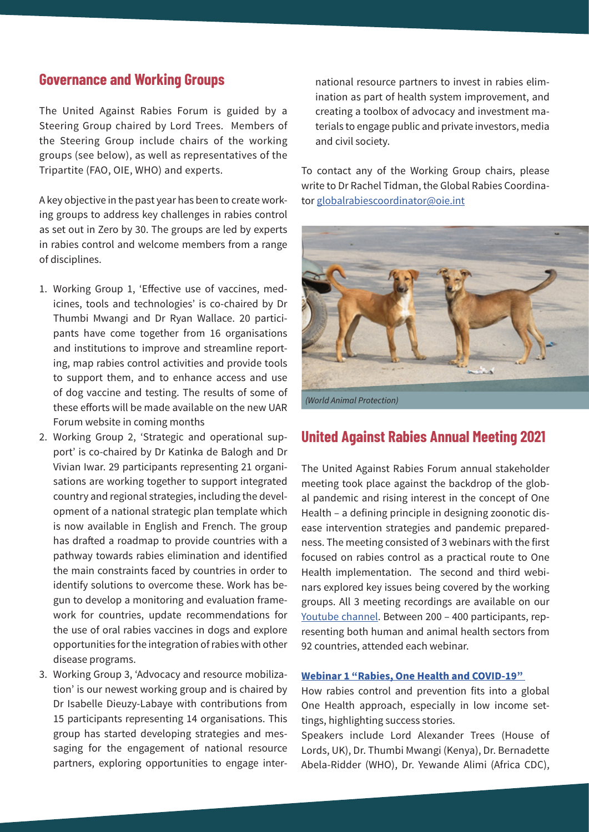## **Governance and Working Groups**

The United Against Rabies Forum is guided by a Steering Group chaired by Lord Trees. Members of the Steering Group include chairs of the working groups (see below), as well as representatives of the Tripartite (FAO, OIE, WHO) and experts.

A key objective in the past year has been to create working groups to address key challenges in rabies control as set out in Zero by 30. The groups are led by experts in rabies control and welcome members from a range of disciplines.

- 1. Working Group 1, 'Effective use of vaccines, medicines, tools and technologies' is co-chaired by Dr Thumbi Mwangi and Dr Ryan Wallace. 20 participants have come together from 16 organisations and institutions to improve and streamline reporting, map rabies control activities and provide tools to support them, and to enhance access and use of dog vaccine and testing. The results of some of these efforts will be made available on the new UAR Forum website in coming months
- 2. Working Group 2, 'Strategic and operational support' is co-chaired by Dr Katinka de Balogh and Dr Vivian Iwar. 29 participants representing 21 organisations are working together to support integrated country and regional strategies, including the development of a national strategic plan template which is now available in English and French. The group has drafted a roadmap to provide countries with a pathway towards rabies elimination and identified the main constraints faced by countries in order to identify solutions to overcome these. Work has begun to develop a monitoring and evaluation framework for countries, update recommendations for the use of oral rabies vaccines in dogs and explore opportunities for the integration of rabies with other disease programs.
- 3. Working Group 3, 'Advocacy and resource mobilization' is our newest working group and is chaired by Dr Isabelle Dieuzy-Labaye with contributions from 15 participants representing 14 organisations. This group has started developing strategies and messaging for the engagement of national resource partners, exploring opportunities to engage inter-

national resource partners to invest in rabies elimination as part of health system improvement, and creating a toolbox of advocacy and investment materials to engage public and private investors, media and civil society.

To contact any of the Working Group chairs, please write to Dr Rachel Tidman, the Global Rabies Coordinator globalrabiescoordinator@oie.int



## **United Against Rabies Annual Meeting 2021**

The United Against Rabies Forum annual stakeholder meeting took place against the backdrop of the global pandemic and rising interest in the concept of One Health – a defining principle in designing zoonotic disease intervention strategies and pandemic preparedness. The meeting consisted of 3 webinars with the first focused on rabies control as a practical route to One Health implementation. The second and third webinars explored key issues being covered by the working groups. All 3 meeting recordings are available on our Youtube channel. Between 200 – 400 participants, representing both human and animal health sectors from 92 countries, attended each webinar.

#### **Webinar 1 "Rabies, One Health and COVID-19"**

How rabies control and prevention fits into a global One Health approach, especially in low income settings, highlighting success stories.

Speakers include Lord Alexander Trees (House of Lords, UK), Dr. Thumbi Mwangi (Kenya), Dr. Bernadette Abela-Ridder (WHO), Dr. Yewande Alimi (Africa CDC),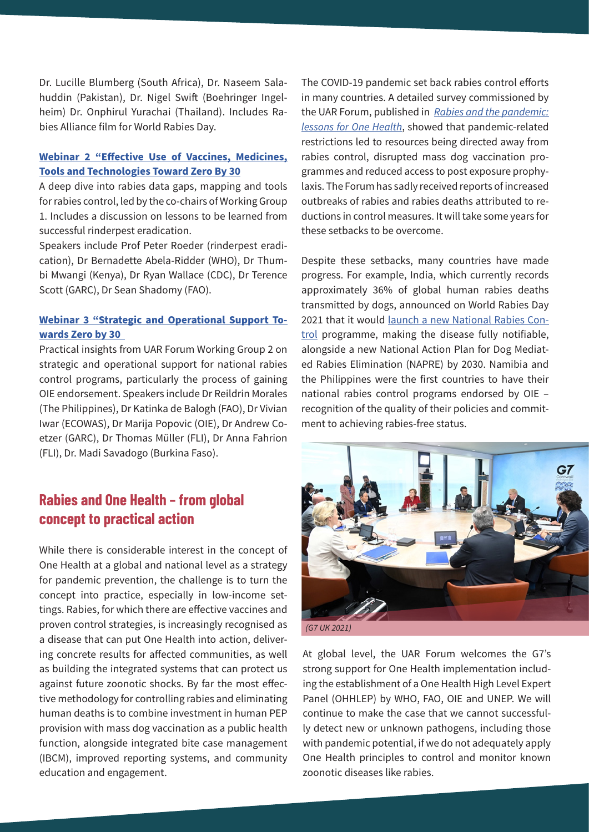Dr. Lucille Blumberg (South Africa), Dr. Naseem Salahuddin (Pakistan), Dr. Nigel Swift (Boehringer Ingelheim) Dr. Onphirul Yurachai (Thailand). Includes Rabies Alliance film for World Rabies Day.

#### **Webinar 2 "Effective Use of Vaccines, Medicines, Tools and Technologies Toward Zero By 30**

A deep dive into rabies data gaps, mapping and tools for rabies control, led by the co-chairs of Working Group 1. Includes a discussion on lessons to be learned from successful rinderpest eradication.

Speakers include Prof Peter Roeder (rinderpest eradication), Dr Bernadette Abela-Ridder (WHO), Dr Thumbi Mwangi (Kenya), Dr Ryan Wallace (CDC), Dr Terence Scott (GARC), Dr Sean Shadomy (FAO).

#### **Webinar 3 "Strategic and Operational Support Towards Zero by 30**

Practical insights from UAR Forum Working Group 2 on strategic and operational support for national rabies control programs, particularly the process of gaining OIE endorsement. Speakers include Dr Reildrin Morales (The Philippines), Dr Katinka de Balogh (FAO), Dr Vivian Iwar (ECOWAS), Dr Marija Popovic (OIE), Dr Andrew Coetzer (GARC), Dr Thomas Müller (FLI), Dr Anna Fahrion (FLI), Dr. Madi Savadogo (Burkina Faso).

## **Rabies and One Health – from global concept to practical action**

While there is considerable interest in the concept of One Health at a global and national level as a strategy for pandemic prevention, the challenge is to turn the concept into practice, especially in low-income settings. Rabies, for which there are effective vaccines and proven control strategies, is increasingly recognised as a disease that can put One Health into action, delivering concrete results for affected communities, as well as building the integrated systems that can protect us against future zoonotic shocks. By far the most effective methodology for controlling rabies and eliminating human deaths is to combine investment in human PEP provision with mass dog vaccination as a public health function, alongside integrated bite case management (IBCM), improved reporting systems, and community education and engagement.

The COVID-19 pandemic set back rabies control efforts in many countries. A detailed survey commissioned by the UAR Forum, published in *Rabies and the pandemic: lessons for One Health*, showed that pandemic-related restrictions led to resources being directed away from rabies control, disrupted mass dog vaccination programmes and reduced access to post exposure prophylaxis. The Forum has sadly received reports of increased outbreaks of rabies and rabies deaths attributed to reductions in control measures. It will take some years for these setbacks to be overcome.

Despite these setbacks, many countries have made progress. For example, India, which currently records approximately 36% of global human rabies deaths transmitted by dogs, announced on World Rabies Day 2021 that it would launch a new National Rabies Control programme, making the disease fully notifiable, alongside a new National Action Plan for Dog Mediated Rabies Elimination (NAPRE) by 2030. Namibia and the Philippines were the first countries to have their national rabies control programs endorsed by OIE – recognition of the quality of their policies and commitment to achieving rabies-free status.



At global level, the UAR Forum welcomes the G7's strong support for One Health implementation including the establishment of a One Health High Level Expert Panel (OHHLEP) by WHO, FAO, OIE and UNEP. We will continue to make the case that we cannot successfully detect new or unknown pathogens, including those with pandemic potential, if we do not adequately apply One Health principles to control and monitor known zoonotic diseases like rabies.